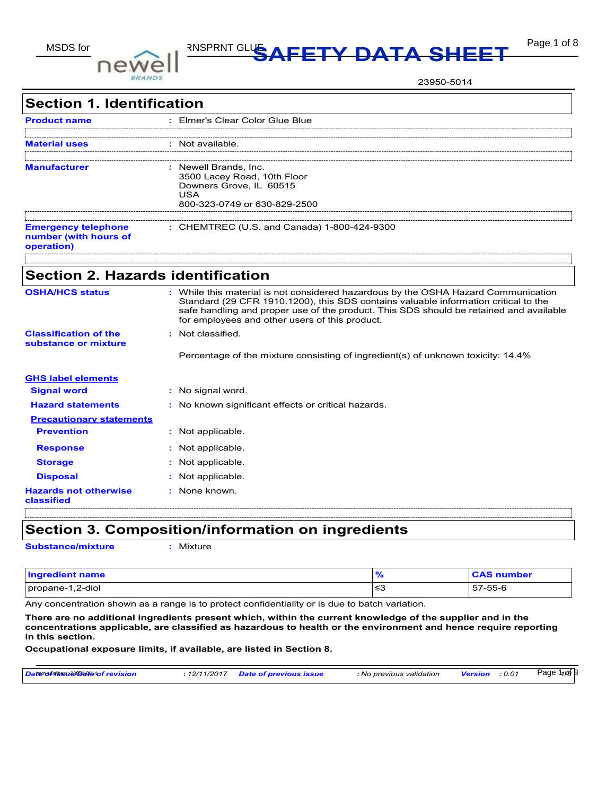

# MSDS for **DATA SHEET** Page 1 of 8

23950-5014

| <b>Section 1. Identification</b>                                  |                                                                                                                                                                                                                                                                                                                       |
|-------------------------------------------------------------------|-----------------------------------------------------------------------------------------------------------------------------------------------------------------------------------------------------------------------------------------------------------------------------------------------------------------------|
| <b>Product name</b>                                               | : Elmer's Clear Color Glue Blue                                                                                                                                                                                                                                                                                       |
| Aaterial uses                                                     | Not available.                                                                                                                                                                                                                                                                                                        |
| Manufacturer                                                      | : Newell Brands, Inc.<br>3500 Lacey Road, 10th Floor<br>Downers Grove, IL 60515<br><b>USA</b><br>800-323-0749 or 630-829-2500                                                                                                                                                                                         |
| <b>Emergency telephone</b><br>number (with hours of<br>operation) | : CHEMTREC (U.S. and Canada) 1-800-424-9300                                                                                                                                                                                                                                                                           |
| <b>Section 2. Hazards identification</b>                          |                                                                                                                                                                                                                                                                                                                       |
| <b>OSHA/HCS status</b>                                            | : While this material is not considered hazardous by the OSHA Hazard Communication<br>Standard (29 CFR 1910.1200), this SDS contains valuable information critical to the<br>safe handling and proper use of the product. This SDS should be retained and available<br>for employees and other users of this product. |
| <b>Classification of the</b><br>substance or mixture              | Not classified.<br>Percentage of the mixture consisting of ingredient(s) of unknown toxicity: 14.4%                                                                                                                                                                                                                   |
| <b>GHS label elements</b>                                         |                                                                                                                                                                                                                                                                                                                       |
| <b>Signal word</b>                                                | : No signal word.                                                                                                                                                                                                                                                                                                     |
| <b>Hazard statements</b>                                          | No known significant effects or critical hazards.                                                                                                                                                                                                                                                                     |
| <b>Precautionary statements</b>                                   |                                                                                                                                                                                                                                                                                                                       |
| <b>Prevention</b>                                                 | : Not applicable.                                                                                                                                                                                                                                                                                                     |
| <b>Response</b>                                                   | Not applicable.                                                                                                                                                                                                                                                                                                       |
| <b>Storage</b>                                                    | Not applicable.                                                                                                                                                                                                                                                                                                       |
| <b>Disposal</b>                                                   | Not applicable.                                                                                                                                                                                                                                                                                                       |
| <b>Hazards not otherwise</b><br>classified                        | : None known.                                                                                                                                                                                                                                                                                                         |

**Section 3. Composition/information on ingredients**

**Substance/mixture :** Mixture

| <b>Ingredient name</b> | 70  | <b>CAS number</b> |
|------------------------|-----|-------------------|
| propane-1,2-diol       | כבו | 57-55-6           |

Any concentration shown as a range is to protect confidentiality or is due to batch variation.

**There are no additional ingredients present which, within the current knowledge of the supplier and in the concentrations applicable, are classified as hazardous to health or the environment and hence require reporting in this section.**

**Occupational exposure limits, if available, are listed in Section 8.**

| Datendurissu209508040f revision | : 12/11/2017 | <b>Date of previous issue</b> | : No previous validation | <b>Version</b> | : 0.01 | Page 1 <sub>108</sub> B |
|---------------------------------|--------------|-------------------------------|--------------------------|----------------|--------|-------------------------|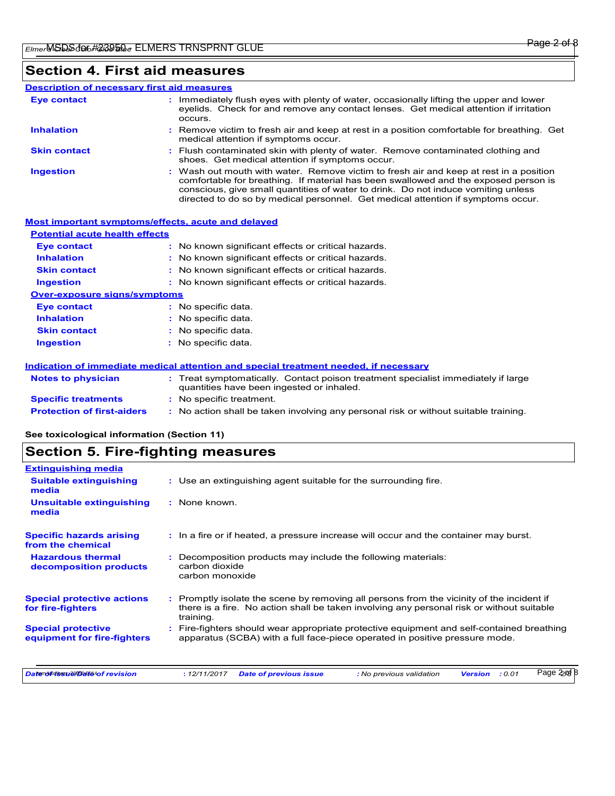### **Section 4. First aid measures**

#### Wash out mouth with water. Remove victim to fresh air and keep at rest in a position comfortable for breathing. If material has been swallowed and the exposed person is conscious, give small quantities of water to drink. Do not induce vomiting unless directed to do so by medical personnel. Get medical attention if symptoms occur. **:** Immediately flush eyes with plenty of water, occasionally lifting the upper and lower eyelids. Check for and remove any contact lenses. Get medical attention if irritation occurs. Flush contaminated skin with plenty of water. Remove contaminated clothing and **:** shoes. Get medical attention if symptoms occur. Remove victim to fresh air and keep at rest in a position comfortable for breathing. Get **:** medical attention if symptoms occur. **Eye contact Skin contact Inhalation Ingestion : Description of necessary first aid measures**

| <b>Most important symptoms/effects, acute and delayed</b> |                                                                                                                                |
|-----------------------------------------------------------|--------------------------------------------------------------------------------------------------------------------------------|
| <b>Potential acute health effects</b>                     |                                                                                                                                |
| <b>Eye contact</b>                                        | : No known significant effects or critical hazards.                                                                            |
| <b>Inhalation</b>                                         | : No known significant effects or critical hazards.                                                                            |
| <b>Skin contact</b>                                       | : No known significant effects or critical hazards.                                                                            |
| <b>Ingestion</b>                                          | : No known significant effects or critical hazards.                                                                            |
| <b>Over-exposure signs/symptoms</b>                       |                                                                                                                                |
| Eye contact                                               | : No specific data.                                                                                                            |
| <b>Inhalation</b>                                         | : No specific data.                                                                                                            |
| <b>Skin contact</b>                                       | : No specific data.                                                                                                            |
| <b>Ingestion</b>                                          | : No specific data.                                                                                                            |
|                                                           | Indication of immediate medical attention and special treatment needed, if necessary                                           |
| <b>Notes to physician</b>                                 | : Treat symptomatically. Contact poison treatment specialist immediately if large<br>quantities have been ingested or inhaled. |
| <b>Specific treatments</b>                                | : No specific treatment.                                                                                                       |
| <b>Protection of first-aiders</b>                         | : No action shall be taken involving any personal risk or without suitable training.                                           |

**See toxicological information (Section 11)**

### **Section 5. Fire-fighting measures**

| <b>Extinguishing media</b>                               |                                                                                                                                                                                                     |
|----------------------------------------------------------|-----------------------------------------------------------------------------------------------------------------------------------------------------------------------------------------------------|
| <b>Suitable extinguishing</b><br>media                   | : Use an extinguishing agent suitable for the surrounding fire.                                                                                                                                     |
| <b>Unsuitable extinguishing</b><br>media                 | : None known.                                                                                                                                                                                       |
| <b>Specific hazards arising</b><br>from the chemical     | : In a fire or if heated, a pressure increase will occur and the container may burst.                                                                                                               |
| <b>Hazardous thermal</b><br>decomposition products       | Decomposition products may include the following materials:<br>carbon dioxide<br>carbon monoxide                                                                                                    |
| <b>Special protective actions</b><br>for fire-fighters   | : Promptly isolate the scene by removing all persons from the vicinity of the incident if<br>there is a fire. No action shall be taken involving any personal risk or without suitable<br>training. |
| <b>Special protective</b><br>equipment for fire-fighters | Fire-fighters should wear appropriate protective equipment and self-contained breathing<br>apparatus (SCBA) with a full face-piece operated in positive pressure mode.                              |
| Datenduriess 29508094of revision                         | Page 2pd B<br>: 0.01<br>: 12/11/2017<br><b>Date of previous issue</b><br>: No previous validation<br><b>Version</b>                                                                                 |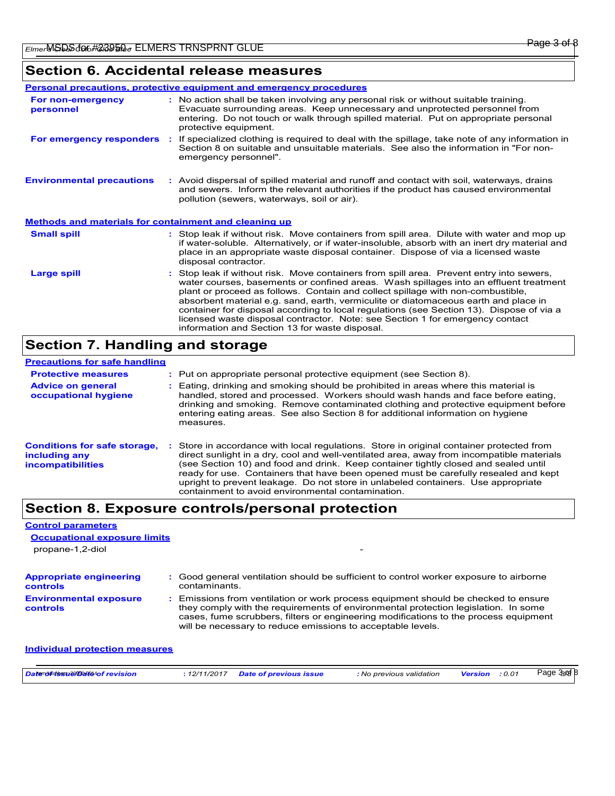### **Section 6. Accidental release measures**

|                                                       | Personal precautions, protective equipment and emergency procedures                                                                                                                                                                                                                                                                                                                                                                                                                                                                                                                      |  |
|-------------------------------------------------------|------------------------------------------------------------------------------------------------------------------------------------------------------------------------------------------------------------------------------------------------------------------------------------------------------------------------------------------------------------------------------------------------------------------------------------------------------------------------------------------------------------------------------------------------------------------------------------------|--|
| <b>For non-emergency</b><br>personnel                 | : No action shall be taken involving any personal risk or without suitable training.<br>Evacuate surrounding areas. Keep unnecessary and unprotected personnel from<br>entering. Do not touch or walk through spilled material. Put on appropriate personal<br>protective equipment.                                                                                                                                                                                                                                                                                                     |  |
| For emergency responders :                            | If specialized clothing is required to deal with the spillage, take note of any information in<br>Section 8 on suitable and unsuitable materials. See also the information in "For non-<br>emergency personnel".                                                                                                                                                                                                                                                                                                                                                                         |  |
| <b>Environmental precautions</b>                      | : Avoid dispersal of spilled material and runoff and contact with soil, waterways, drains<br>and sewers. Inform the relevant authorities if the product has caused environmental<br>pollution (sewers, waterways, soil or air).                                                                                                                                                                                                                                                                                                                                                          |  |
| Methods and materials for containment and cleaning up |                                                                                                                                                                                                                                                                                                                                                                                                                                                                                                                                                                                          |  |
| <b>Small spill</b>                                    | : Stop leak if without risk. Move containers from spill area. Dilute with water and mop up<br>if water-soluble. Alternatively, or if water-insoluble, absorb with an inert dry material and<br>place in an appropriate waste disposal container. Dispose of via a licensed waste<br>disposal contractor.                                                                                                                                                                                                                                                                                 |  |
| <b>Large spill</b>                                    | Stop leak if without risk. Move containers from spill area. Prevent entry into sewers,<br>water courses, basements or confined areas. Wash spillages into an effluent treatment<br>plant or proceed as follows. Contain and collect spillage with non-combustible,<br>absorbent material e.g. sand, earth, vermiculite or diatomaceous earth and place in<br>container for disposal according to local regulations (see Section 13). Dispose of via a<br>licensed waste disposal contractor. Note: see Section 1 for emergency contact<br>information and Section 13 for waste disposal. |  |

### **Section 7. Handling and storage**

| <b>Precautions for safe handling</b>                                             |                                                                                                                                                                                                                                                                                                                                                                                                                                                                                                             |
|----------------------------------------------------------------------------------|-------------------------------------------------------------------------------------------------------------------------------------------------------------------------------------------------------------------------------------------------------------------------------------------------------------------------------------------------------------------------------------------------------------------------------------------------------------------------------------------------------------|
| <b>Protective measures</b>                                                       | : Put on appropriate personal protective equipment (see Section 8).                                                                                                                                                                                                                                                                                                                                                                                                                                         |
| <b>Advice on general</b><br>occupational hygiene                                 | : Eating, drinking and smoking should be prohibited in areas where this material is<br>handled, stored and processed. Workers should wash hands and face before eating.<br>drinking and smoking. Remove contaminated clothing and protective equipment before<br>entering eating areas. See also Section 8 for additional information on hygiene<br>measures.                                                                                                                                               |
| <b>Conditions for safe storage,</b><br>including any<br><i>incompatibilities</i> | Store in accordance with local regulations. Store in original container protected from<br>direct sunlight in a dry, cool and well-ventilated area, away from incompatible materials<br>(see Section 10) and food and drink. Keep container tightly closed and sealed until<br>ready for use. Containers that have been opened must be carefully resealed and kept<br>upright to prevent leakage. Do not store in unlabeled containers. Use appropriate<br>containment to avoid environmental contamination. |

### **Section 8. Exposure controls/personal protection**

| <b>Control parameters</b><br><b>Occupational exposure limits</b><br>propane-1,2-diol |                                                                                                                                                                                                                                                                                                                                 |
|--------------------------------------------------------------------------------------|---------------------------------------------------------------------------------------------------------------------------------------------------------------------------------------------------------------------------------------------------------------------------------------------------------------------------------|
| <b>Appropriate engineering</b><br>controls                                           | : Good general ventilation should be sufficient to control worker exposure to airborne<br>contaminants.                                                                                                                                                                                                                         |
| <b>Environmental exposure</b><br>controls                                            | : Emissions from ventilation or work process equipment should be checked to ensure<br>they comply with the requirements of environmental protection legislation. In some<br>cases, fume scrubbers, filters or engineering modifications to the process equipment<br>will be necessary to reduce emissions to acceptable levels. |
| Individual protection measures                                                       |                                                                                                                                                                                                                                                                                                                                 |

| Datenduiness129508094of revision | : 12/11/2017 Date of previous issue | : No previous validation | <b>Version</b> : 0.01 | Page 3sof 8 |
|----------------------------------|-------------------------------------|--------------------------|-----------------------|-------------|
|                                  |                                     |                          |                       |             |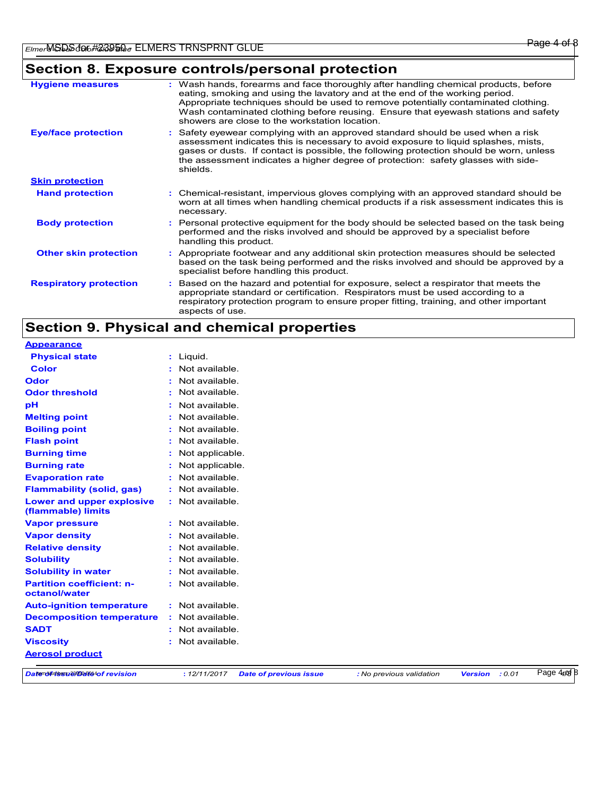## **Section 8. Exposure controls/personal protection**

| <b>Hygiene measures</b>       | : Wash hands, forearms and face thoroughly after handling chemical products, before<br>eating, smoking and using the lavatory and at the end of the working period.<br>Appropriate techniques should be used to remove potentially contaminated clothing.<br>Wash contaminated clothing before reusing. Ensure that eyewash stations and safety<br>showers are close to the workstation location. |
|-------------------------------|---------------------------------------------------------------------------------------------------------------------------------------------------------------------------------------------------------------------------------------------------------------------------------------------------------------------------------------------------------------------------------------------------|
| <b>Eye/face protection</b>    | : Safety eyewear complying with an approved standard should be used when a risk<br>assessment indicates this is necessary to avoid exposure to liquid splashes, mists,<br>gases or dusts. If contact is possible, the following protection should be worn, unless<br>the assessment indicates a higher degree of protection: safety glasses with side-<br>shields.                                |
| <b>Skin protection</b>        |                                                                                                                                                                                                                                                                                                                                                                                                   |
| <b>Hand protection</b>        | : Chemical-resistant, impervious gloves complying with an approved standard should be<br>worn at all times when handling chemical products if a risk assessment indicates this is<br>necessary.                                                                                                                                                                                                   |
| <b>Body protection</b>        | : Personal protective equipment for the body should be selected based on the task being<br>performed and the risks involved and should be approved by a specialist before<br>handling this product.                                                                                                                                                                                               |
| <b>Other skin protection</b>  | : Appropriate footwear and any additional skin protection measures should be selected<br>based on the task being performed and the risks involved and should be approved by a<br>specialist before handling this product.                                                                                                                                                                         |
| <b>Respiratory protection</b> | : Based on the hazard and potential for exposure, select a respirator that meets the<br>appropriate standard or certification. Respirators must be used according to a<br>respiratory protection program to ensure proper fitting, training, and other important<br>aspects of use.                                                                                                               |

### **Section 9. Physical and chemical properties**

| <b>Appearance</b>                                      |                  |                               |                          |                |        |            |
|--------------------------------------------------------|------------------|-------------------------------|--------------------------|----------------|--------|------------|
| <b>Physical state</b>                                  | : Liquid.        |                               |                          |                |        |            |
| <b>Color</b>                                           | Not available.   |                               |                          |                |        |            |
| <b>Odor</b>                                            | Not available.   |                               |                          |                |        |            |
| <b>Odor threshold</b>                                  | Not available.   |                               |                          |                |        |            |
| pH                                                     | Not available.   |                               |                          |                |        |            |
| <b>Melting point</b>                                   | Not available.   |                               |                          |                |        |            |
| <b>Boiling point</b>                                   | Not available.   |                               |                          |                |        |            |
| <b>Flash point</b>                                     | Not available.   |                               |                          |                |        |            |
| <b>Burning time</b>                                    | Not applicable.  |                               |                          |                |        |            |
| <b>Burning rate</b>                                    | Not applicable.  |                               |                          |                |        |            |
| <b>Evaporation rate</b>                                | Not available.   |                               |                          |                |        |            |
| <b>Flammability (solid, gas)</b>                       | Not available.   |                               |                          |                |        |            |
| <b>Lower and upper explosive</b><br>(flammable) limits | : Not available. |                               |                          |                |        |            |
| <b>Vapor pressure</b>                                  | Not available.   |                               |                          |                |        |            |
| <b>Vapor density</b>                                   | Not available.   |                               |                          |                |        |            |
| <b>Relative density</b>                                | Not available.   |                               |                          |                |        |            |
| <b>Solubility</b>                                      | Not available.   |                               |                          |                |        |            |
| <b>Solubility in water</b>                             | Not available.   |                               |                          |                |        |            |
| <b>Partition coefficient: n-</b><br>octanol/water      | : Not available. |                               |                          |                |        |            |
| <b>Auto-ignition temperature</b>                       | : Not available. |                               |                          |                |        |            |
| <b>Decomposition temperature</b>                       | Not available.   |                               |                          |                |        |            |
| <b>SADT</b>                                            | Not available.   |                               |                          |                |        |            |
| <b>Viscosity</b>                                       | Not available.   |                               |                          |                |        |            |
| <b>Aerosol product</b>                                 |                  |                               |                          |                |        |            |
| Datenduress129508040f revision                         | : 12/11/2017     | <b>Date of previous issue</b> | : No previous validation | <b>Version</b> | : 0.01 | Page 4pt 8 |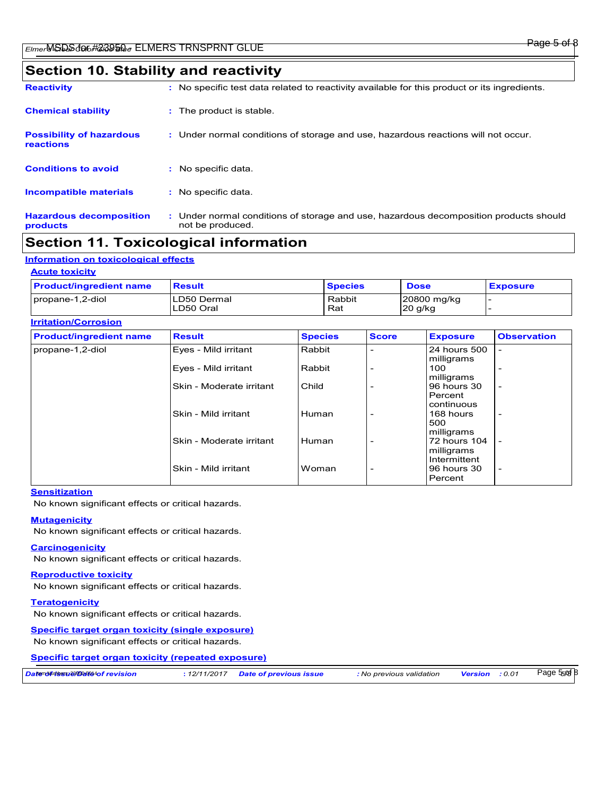### **Section 10. Stability and reactivity**

| <b>Reactivity</b>                            | : No specific test data related to reactivity available for this product or its ingredients.              |
|----------------------------------------------|-----------------------------------------------------------------------------------------------------------|
| <b>Chemical stability</b>                    | : The product is stable.                                                                                  |
| <b>Possibility of hazardous</b><br>reactions | : Under normal conditions of storage and use, hazardous reactions will not occur.                         |
| <b>Conditions to avoid</b>                   | No specific data.                                                                                         |
| <b>Incompatible materials</b>                | : No specific data.                                                                                       |
| <b>Hazardous decomposition</b><br>products   | : Under normal conditions of storage and use, hazardous decomposition products should<br>not be produced. |

### **Section 11. Toxicological information**

#### **Information on toxicological effects**

#### **Acute toxicity**

| <b>Product/ingredient name</b> | <b>Result</b>            | <b>Species</b> | <b>Dose</b>            | <b>Exposure</b> |
|--------------------------------|--------------------------|----------------|------------------------|-----------------|
| propane-1,2-diol               | LD50 Dermal<br>LD50 Oral | Rabbit<br>Rat  | 20800 mg/kg<br>20 g/kg |                 |

| <b>Irritation/Corrosion</b>    |                          |                |                          |                                          |                          |  |
|--------------------------------|--------------------------|----------------|--------------------------|------------------------------------------|--------------------------|--|
| <b>Product/ingredient name</b> | <b>Result</b>            | <b>Species</b> | <b>Score</b>             | <b>Exposure</b>                          | <b>Observation</b>       |  |
| propane-1,2-diol               | Eyes - Mild irritant     | Rabbit         |                          | 24 hours 500<br>milligrams               | $\overline{a}$           |  |
|                                | Eyes - Mild irritant     | Rabbit         |                          | 100<br>milligrams                        |                          |  |
|                                | Skin - Moderate irritant | Child          |                          | 96 hours 30<br>Percent<br>continuous     | $\overline{\phantom{0}}$ |  |
|                                | Skin - Mild irritant     | Human          |                          | 168 hours<br>500                         | $\overline{\phantom{0}}$ |  |
|                                | Skin - Moderate irritant | Human          |                          | milligrams<br>72 hours 104<br>milligrams |                          |  |
|                                | Skin - Mild irritant     | Woman          | $\overline{\phantom{a}}$ | Intermittent<br>96 hours 30<br>Percent   | $\overline{\phantom{0}}$ |  |

#### **Sensitization**

No known significant effects or critical hazards.

#### **Mutagenicity**

No known significant effects or critical hazards.

#### **Carcinogenicity**

No known significant effects or critical hazards.

#### **Reproductive toxicity**

No known significant effects or critical hazards.

#### **Teratogenicity**

No known significant effects or critical hazards.

#### **Specific target organ toxicity (single exposure)**

No known significant effects or critical hazards.

**Specific target organ toxicity (repeated exposure)**

| Datenoluress189508040f revision | : 12/11/2017 Date of previous issue | : No previous validation | <b>Version</b> | : 0.01 | Page 5 <sub>50</sub> 8 |
|---------------------------------|-------------------------------------|--------------------------|----------------|--------|------------------------|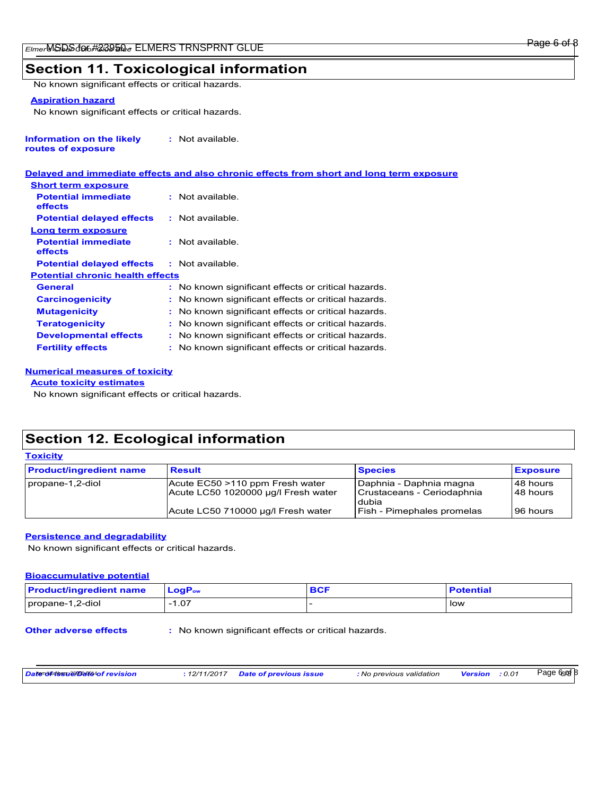### **Section 11. Toxicological information**

No known significant effects or critical hazards.

#### **Aspiration hazard**

No known significant effects or critical hazards.

| Information on the likely | : Not available. |
|---------------------------|------------------|
| routes of exposure        |                  |

#### **Delayed and immediate effects and also chronic effects from short and long term exposure**

| <b>Short term exposure</b>              |                                                     |
|-----------------------------------------|-----------------------------------------------------|
| <b>Potential immediate</b><br>effects   | $:$ Not available                                   |
| <b>Potential delayed effects</b>        | $:$ Not available.                                  |
| Long term exposure                      |                                                     |
| <b>Potential immediate</b><br>effects   | : Not available.                                    |
| <b>Potential delayed effects</b>        | : Not available.                                    |
| <b>Potential chronic health effects</b> |                                                     |
| General                                 | : No known significant effects or critical hazards. |
| <b>Carcinogenicity</b>                  | : No known significant effects or critical hazards. |
| <b>Mutagenicity</b>                     | : No known significant effects or critical hazards. |
| <b>Teratogenicity</b>                   | : No known significant effects or critical hazards. |
| <b>Developmental effects</b>            | : No known significant effects or critical hazards. |
| <b>Fertility effects</b>                | : No known significant effects or critical hazards. |
|                                         |                                                     |

#### **Numerical measures of toxicity**

#### **Acute toxicity estimates**

**Toxicity**

No known significant effects or critical hazards.

### **Section 12. Ecological information**

| <b>Product/ingredient name</b> | <b>Result</b>                                                          | <b>Species</b>                                                   | <b>Exposure</b>          |
|--------------------------------|------------------------------------------------------------------------|------------------------------------------------------------------|--------------------------|
| propane-1,2-diol               | Acute EC50 >110 ppm Fresh water<br>Acute LC50 1020000 ug/l Fresh water | Daphnia - Daphnia magna<br>Crustaceans - Ceriodaphnia<br>l dubia | l 48 hours<br>l 48 hours |
|                                | Acute LC50 710000 µg/l Fresh water                                     | <b>Fish - Pimephales promelas</b>                                | l 96 hours               |

#### **Persistence and degradability**

No known significant effects or critical hazards.

#### **Bioaccumulative potential**

| <b>Product/ingredient name</b> | <b>LogP</b> ow | <b>BCF</b> | <b>Potential</b> |
|--------------------------------|----------------|------------|------------------|
| propane-1,2-diol               | 1.07           |            | low              |

**Other adverse effects** : No known significant effects or critical hazards.

| Datenoโตร์ประชาชน Date 4of revision |  |
|-------------------------------------|--|
|-------------------------------------|--|

*Date of issue/Date of revision* Item Numbers: 23950-5014 **:** *12/11/2017 Date of previous issue : No previous validation Version : 0.01*

Page 6 of 8 *6/8*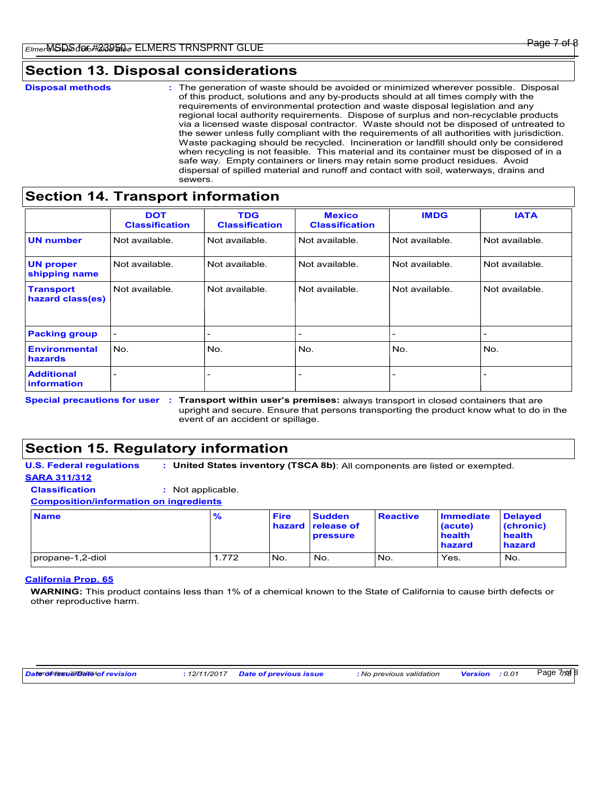### **Section 13. Disposal considerations**

### **Section 14. Transport information**

|                                         | <b>DOT</b><br><b>Classification</b> | <b>TDG</b><br><b>Classification</b> | <b>Mexico</b><br><b>Classification</b> | <b>IMDG</b>    | <b>IATA</b>    |
|-----------------------------------------|-------------------------------------|-------------------------------------|----------------------------------------|----------------|----------------|
| <b>UN number</b>                        | Not available.                      | Not available.                      | Not available.                         | Not available. | Not available. |
| <b>UN proper</b><br>shipping name       | Not available.                      | Not available.                      | Not available.                         | Not available. | Not available. |
| <b>Transport</b><br>hazard class(es)    | Not available.                      | Not available.                      | Not available.                         | Not available. | Not available. |
| <b>Packing group</b>                    |                                     | $\overline{\phantom{a}}$            | $\overline{\phantom{0}}$               |                |                |
| <b>Environmental</b><br>hazards         | No.                                 | No.                                 | No.                                    | No.            | No.            |
| <b>Additional</b><br><b>information</b> |                                     |                                     | $\overline{\phantom{a}}$               |                |                |

Special precautions for user : Transport within user's premises: always transport in closed containers that are upright and secure. Ensure that persons transporting the product know what to do in the event of an accident or spillage.

### **Section 15. Regulatory information**

**U.S. Federal regulations : United States inventory (TSCA 8b)**: All components are listed or exempted. **SARA 311/312**

**Classification :** Not applicable.

**Composition/information on ingredients**

| <b>Name</b>      | $\frac{9}{6}$ | <b>Fire</b> | <b>Sudden</b><br>hazard release of<br><b>pressure</b> | <b>Reactive</b> | <b>Immediate</b><br>(acute)<br>health<br>hazard | <b>Delayed</b><br>(chronic)<br>health<br>hazard |
|------------------|---------------|-------------|-------------------------------------------------------|-----------------|-------------------------------------------------|-------------------------------------------------|
| propane-1,2-diol | 1.772         | No.         | No.                                                   | INo.            | Yes.                                            | No.                                             |

#### **California Prop. 65**

**WARNING:** This product contains less than 1% of a chemical known to the State of California to cause birth defects or other reproductive harm.

*Date of issue/Date of revision* Item Numbers: 23950-5014 **:** *12/11/2017 Date of previous issue : No previous validation Version : 0.01*